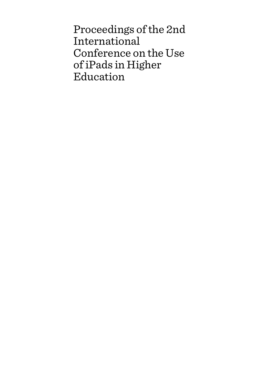Proceedings of the 2nd International Conference on the Use of iPads in Higher Education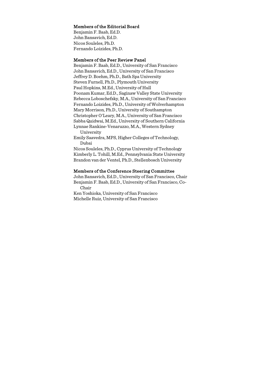#### Members of the Editorial Board

Benjamin F. Baab, Ed.D. John Bansavich, Ed.D. Nicos Souleles, Ph.D. Fernando Loizides, Ph.D.

#### Members of the Peer Review Panel

Benjamin F. Baab, Ed.D., University of San Francisco John Bansavich, Ed.D., University of San Francisco Jeffrey D. Boehm, Ph.D., Bath Spa University Steven Furnell, Ph.D., Plymouth University Paul Hopkins, M.Ed., University of Hull Poonam Kumar, Ed.D., Saginaw Valley State University Rebecca Loboschefsky, M.A., University of San Francisco Fernando Loizides, Ph.D., University of Wolverhampton Mary Morrison, Ph.D., University of Southampton Christopher O'Leary, M.A., University of San Francisco Sabba Quidwai, M.Ed., University of Southern California Lynnae Rankine-Venaruzzo, M.A., Western Sydney University

Emily Saavedra, MPS, Higher Colleges of Technology, Dubai

Nicos Souleles, Ph.D., Cyprus University of Technology Kimberly L. Tohill, M.Ed., Pennsylvania State University Brandon van der Ventel, Ph.D., Stellenbosch University

#### Members of the Conference Steering Committee

John Bansavich, Ed.D., University of San Francisco, Chair Benjamin F. Baab, Ed.D., University of San Francisco, Co-Chair

Ken Yoshioka, University of San Francisco Michelle Ruiz, University of San Francisco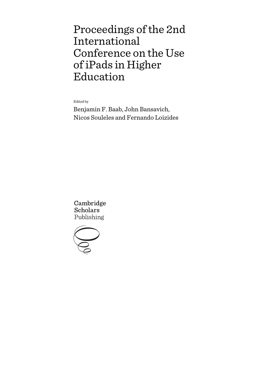# Proceedings of the 2nd International Conference on the Use of iPads in Higher Education

Edited by

Benjamin F. Baab, John Bansavich, Nicos Souleles and Fernando Loizides

Cambridge **Scholars** Publishing

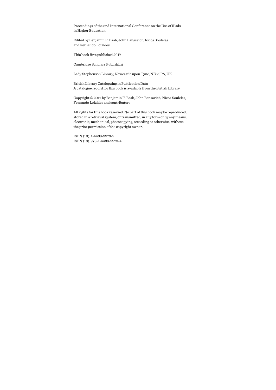Proceedings of the 2nd International Conference on the Use of iPads in Higher Education

Edited by Benjamin F. Baab, John Bansavich, Nicos Souleles and Fernando Loizides

This book first published 2017

Cambridge Scholars Publishing

Lady Stephenson Library, Newcastle upon Tyne, NE6 2PA, UK

British Library Cataloguing in Publication Data A catalogue record for this book is available from the British Library

Copyright © 2017 by Benjamin F. Baab, John Bansavich, Nicos Souleles, Fernando Loizides and contributors

All rights for this book reserved. No part of this book may be reproduced, stored in a retrieval system, or transmitted, in any form or by any means, electronic, mechanical, photocopying, recording or otherwise, without the prior permission of the copyright owner.

ISBN (10): 1-4438-9973-9 ISBN (13): 978-1-4438-9973-4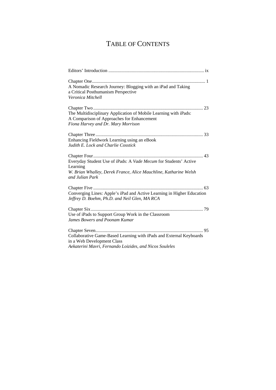## TABLE OF CONTENTS

| A Nomadic Research Journey: Blogging with an iPad and Taking<br>a Critical Posthumanism Perspective<br>Veronica Mitchell                                            |
|---------------------------------------------------------------------------------------------------------------------------------------------------------------------|
| The Multidisciplinary Application of Mobile Learning with iPads:<br>A Comparison of Approaches for Enhancement<br>Fiona Harvey and Dr. Mary Morrison                |
| Enhancing Fieldwork Learning using an eBook<br>Judith E. Lock and Charlie Cosstick                                                                                  |
| Everyday Student Use of iPads: A Vade Mecum for Students' Active<br>Learning<br>W. Brian Whalley, Derek France, Alice Mauchline, Katharine Welsh<br>and Julian Park |
| Converging Lines: Apple's iPad and Active Learning in Higher Education<br>Jeffrey D. Boehm, Ph.D. and Neil Glen, MA RCA                                             |
| Use of iPads to Support Group Work in the Classroom<br>James Bowers and Poonam Kumar                                                                                |
| Collaborative Game-Based Learning with iPads and External Keyboards<br>in a Web Development Class<br>Aekaterini Mavri, Fernando Loizides, and Nicos Souleles        |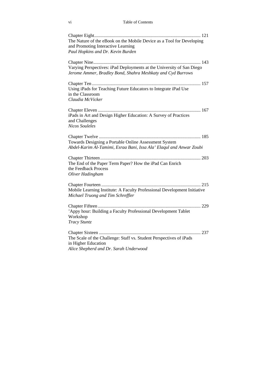#### vi Table of Contents

| The Nature of the eBook on the Mobile Device as a Tool for Developing<br>and Promoting Interactive Learning<br>Paul Hopkins and Dr. Kevin Burden |
|--------------------------------------------------------------------------------------------------------------------------------------------------|
| Varying Perspectives: iPad Deployments at the University of San Diego<br>Jerome Ammer, Bradley Bond, Shahra Meshkaty and Cyd Burrows             |
| Using iPads for Teaching Future Educators to Integrate iPad Use<br>in the Classroom<br>Claudia McVicker                                          |
| iPads in Art and Design Higher Education: A Survey of Practices<br>and Challenges<br><b>Nicos Souleles</b>                                       |
| Towards Designing a Portable Online Assessment System<br>Abdel-Karim Al-Tamimi, Esraa Bani, Issa Ala' Elaqul and Anwar Zoubi                     |
| The End of the Paper Term Paper? How the iPad Can Enrich<br>the Feedback Process<br>Oliver Hadingham                                             |
| Mobile Learning Institute: A Faculty Professional Development Initiative<br>Michael Truong and Tim Schreffler                                    |
| 'Appy hour: Building a Faculty Professional Development Tablet<br>Workshop<br><b>Tracy Stuntz</b>                                                |
| The Scale of the Challenge: Staff vs. Student Perspectives of iPads<br>in Higher Education<br>Alice Shepherd and Dr. Sarah Underwood             |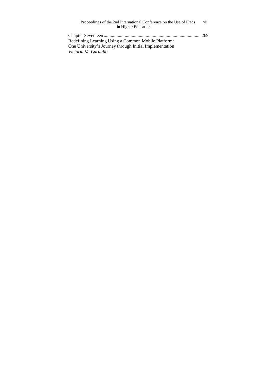| Proceedings of the 2nd International Conference on the Use of iPads | vii |
|---------------------------------------------------------------------|-----|
| in Higher Education                                                 |     |
|                                                                     |     |
| Redefining Learning Using a Common Mobile Platform:                 |     |
| One University's Journey through Initial Implementation             |     |

*Victoria M. Cardullo*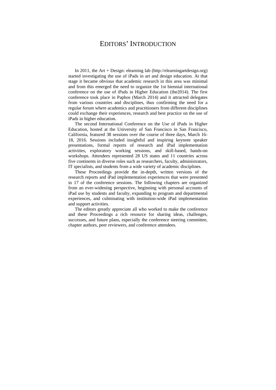### EDITORS' INTRODUCTION

In 2011, the Art + Design: elearning lab (http://elearningartdesign.org) started investigating the use of iPads in art and design education. At that stage it became obvious that academic research in this area was minimal and from this emerged the need to organize the 1st biennial international conference on the use of iPads in Higher Education (ihe2014). The first conference took place in Paphos (March 2014) and it attracted delegates from various countries and disciplines, thus confirming the need for a regular forum where academics and practitioners from different disciplines could exchange their experiences, research and best practice on the use of iPads in higher education.

The second International Conference on the Use of iPads in Higher Education, hosted at the University of San Francisco in San Francisco, California, featured 38 sessions over the course of three days, March 16- 18, 2016. Sessions included insightful and inspiring keynote speaker presentations, formal reports of research and iPad implementation activities, exploratory working sessions, and skill-based, hands-on workshops. Attendees represented 28 US states and 11 countries across five continents in diverse roles such as researchers, faculty, administrators, IT specialists, and students from a wide variety of academic disciplines.

These Proceedings provide the in-depth, written versions of the research reports and iPad implementation experiences that were presented in 17 of the conference sessions. The following chapters are organized from an ever-widening perspective, beginning with personal accounts of iPad use by students and faculty, expanding to program and departmental experiences, and culminating with institution-wide iPad implementation and support activities.

The editors greatly appreciate all who worked to make the conference and these Proceedings a rich resource for sharing ideas, challenges, successes, and future plans, especially the conference steering committee, chapter authors, peer reviewers, and conference attendees.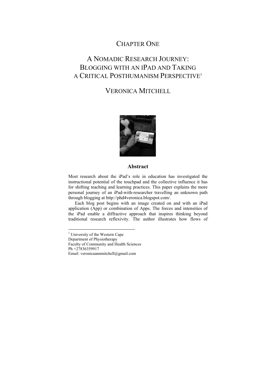### CHAPTER ONE

## A NOMADIC RESEARCH JOURNEY: BLOGGING WITH AN IPAD AND TAKING A CRITICAL POSTHUMANISM PERSPECTIVE1

## VERONICA MITCHELL



#### **Abstract**

Most research about the iPad's role in education has investigated the instructional potential of the touchpad and the collective influence it has for shifting teaching and learning practices. This paper explains the more personal journey of an iPad-with-researcher travelling an unknown path through blogging at http://phd4veronica.blogspot.com/.

Each blog post begins with an image created on and with an iPad application (App) or combination of Apps. The forces and intensities of the iPad enable a diffractive approach that inspires thinking beyond traditional research reflexivity. The author illustrates how flows of

Faculty of Community and Health Sciences

Ph +27836359917

 $\overline{a}$ 

<sup>&</sup>lt;sup>1</sup> University of the Western Cape

Department of Physiotherapy

Email: veronicaannmitchell@gmail.com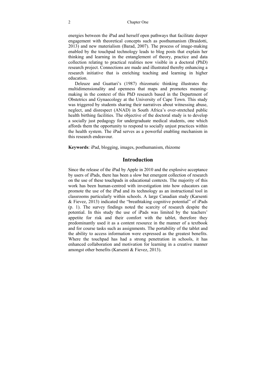#### 2 Chapter One

energies between the iPad and herself open pathways that facilitate deeper engagement with theoretical concepts such as posthumanism (Braidotti, 2013) and new materialism (Barad, 2007). The process of image-making enabled by the touchpad technology leads to blog posts that explain her thinking and learning in the entanglement of theory, practice and data collection relating to practical realities now visible in a doctoral (PhD) research project. Connections are made and illustrated thereby enhancing a research initiative that is enriching teaching and learning in higher education.

Deleuze and Guattari's (1987) rhizomatic thinking illustrates the multidimensionality and openness that maps and promotes meaningmaking in the context of this PhD research based in the Department of Obstetrics and Gynaecology at the University of Cape Town. This study was triggered by students sharing their narratives about witnessing abuse, neglect, and disrespect (ANAD) in South Africa's over-stretched public health birthing facilities. The objective of the doctoral study is to develop a socially just pedagogy for undergraduate medical students, one which affords them the opportunity to respond to socially unjust practices within the health system. The iPad serves as a powerful enabling mechanism in this research endeavour.

**Keywords**: iPad, blogging, images, posthumanism, rhizome

#### **Introduction**

Since the release of the iPad by Apple in 2010 and the explosive acceptance by users of iPads, there has been a slow but emergent collection of research on the use of these touchpads in educational contexts. The majority of this work has been human-centred with investigation into how educators can promote the use of the iPad and its technology as an instructional tool in classrooms particularly within schools. A large Canadian study (Karsenti & Fievez, 2013) indicated the "breathtaking cognitive potential" of iPads (p. 1). The survey findings noted the scarcity of research despite the potential. In this study the use of iPads was limited by the teachers' appetite for risk and their comfort with the tablet, therefore they predominantly used it as a content resource in the manner of a textbook and for course tasks such as assignments. The portability of the tablet and the ability to access information were expressed as the greatest benefits. Where the touchpad has had a strong penetration in schools, it has enhanced collaboration and motivation for learning in a creative manner amongst other benefits (Karsenti & Fievez, 2013).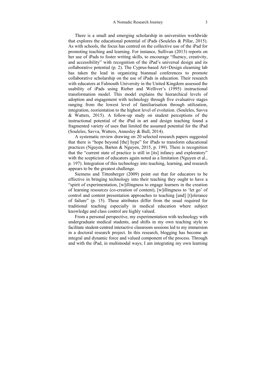There is a small and emerging scholarship in universities worldwide that explores the educational potential of iPads (Souleles & Pillar, 2015). As with schools, the focus has centred on the collective use of the iPad for promoting teaching and learning. For instance, Sullivan (2013) reports on her use of iPads to foster writing skills, to encourage "fluency, creativity, and accessibility" with recognition of the iPad's universal design and its collaborative potential (p. 2). The Cyprus-based Art+Design elearning lab has taken the lead in organizing biannual conferences to promote collaborative scholarship on the use of iPads in education. Their research with educators at Falmouth University in the United Kingdom assessed the usability of iPads using Rieber and Welliver's (1995) instructional transformation model. This model explains the hierarchical levels of adoption and engagement with technology through five evaluative stages ranging from the lowest level of familiarisation through utilization, integration, reorientation to the highest level of evolution. (Souleles, Savva & Watters, 2015). A follow-up study on student perceptions of the instructional potential of the iPad in art and design teaching found a fragmented variety of uses that limited the assumed potential for the iPad (Souleles, Savva, Watters, Annesley & Bull, 2014).

A systematic review drawing on 20 selected research papers suggested that there is "hope beyond [the] hype" for iPads to transform educational practices (Nguyen, Barten & Nguyen, 2015, p. 199). There is recognition that the "current state of practice is still in [its] infancy and exploratory" with the scepticism of educators again noted as a limitation (Nguyen et al., p. 197). Integration of this technology into teaching, learning, and research appears to be the greatest challenge.

Siemens and Tittenberger (2009) point out that for educators to be effective in bringing technology into their teaching they ought to have a "spirit of experimentation, [w]illingness to engage learners in the creation of learning resources (co-creation of content), [w]illingness to 'let go' of control and content presentation approaches to teaching [and] [t]olerance of failure" (p. 15). These attributes differ from the usual required for traditional teaching especially in medical education where subject knowledge and class control are highly valued.

From a personal perspective, my experimentation with technology with undergraduate medical students, and shifts in my own teaching style to facilitate student-centred interactive classroom sessions led to my immersion in a doctoral research project. In this research, blogging has become an integral and dynamic force and valued component of the process. Through and with the iPad, in multimodal ways, I am integrating my own learning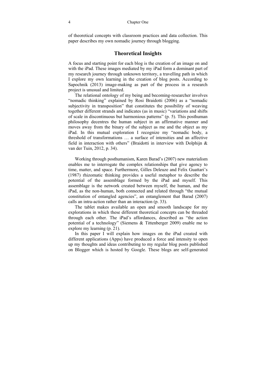of theoretical concepts with classroom practices and data collection. This paper describes my own nomadic journey through blogging.

#### **Theoretical Insights**

A focus and starting point for each blog is the creation of an image on and with the iPad. These images mediated by my iPad form a dominant part of my research journey through unknown territory, a travelling path in which I explore my own learning in the creation of blog posts. According to Sapochnik (2013) image-making as part of the process in a research project is unusual and limited.

The relational ontology of my being and becoming-researcher involves "nomadic thinking" explained by Rosi Braidotti (2006) as a "nomadic subjectivity in transposition" that constitutes the possibility of weaving together different strands and indicates (as in music) "variations and shifts of scale in discontinuous but harmonious patterns" (p. 5). This posthuman philosophy decentres the human subject in an affirmative manner and moves away from the binary of the subject as me and the object as my iPad. In this mutual exploration I recognize my "nomadic body, a threshold of transformations … a surface of intensities and an affective field in interaction with others" (Braidotti in interview with Dolphijn & van der Tuin, 2012, p. 34).

Working through posthumanism, Karen Barad's (2007) new materialism enables me to interrogate the complex relationships that give agency to time, matter, and space. Furthermore, Gilles Deleuze and Felix Guattari's (1987) rhizomatic thinking provides a useful metaphor to describe the potential of the assemblage formed by the iPad and myself. This assemblage is the network created between myself, the human, and the iPad, as the non-human, both connected and related through "the mutual constitution of entangled agencies", an entanglement that Barad (2007) calls an intra-action rather than an interaction (p. 33).

The tablet makes available an open and smooth landscape for my explorations in which these different theoretical concepts can be threaded through each other. The iPad's affordances, described as "the action potential of a technology" (Siemens & Tittenberger 2009) enable me to explore my learning (p. 21).

In this paper I will explain how images on the iPad created with different applications (Apps) have produced a force and intensity to open up my thoughts and ideas contributing to my regular blog posts published on Blogger which is hosted by Google. These blogs are self-generated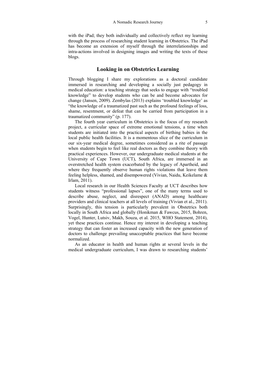with the iPad; they both individually and collectively reflect my learning through the process of researching student learning in Obstetrics. The iPad has become an extension of myself through the interrelationships and intra-actions involved in designing images and writing the texts of these blogs.

#### **Looking in on Obstetrics Learning**

Through blogging I share my explorations as a doctoral candidate immersed in researching and developing a socially just pedagogy in medical education: a teaching strategy that seeks to engage with "troubled knowledge" to develop students who can be and become advocates for change (Jansen, 2009). Zembylas (2013) explains 'troubled knowledge' as "the knowledge of a traumatized past such as the profound feelings of loss, shame, resentment, or defeat that can be carried from participation in a traumatized community" (p. 177).

The fourth year curriculum in Obstetrics is the focus of my research project, a curricular space of extreme emotional tensions, a time when students are initiated into the practical aspects of birthing babies in the local public health facilities. It is a momentous slice of the curriculum in our six-year medical degree, sometimes considered as a rite of passage when students begin to feel like real doctors as they combine theory with practical experiences. However, our undergraduate medical students at the University of Cape Town (UCT), South Africa, are immersed in an overstretched health system exacerbated by the legacy of Apartheid, and where they frequently observe human rights violations that leave them feeling helpless, shamed, and disempowered (Vivian, Naidu, Keikelame & Irlam, 2011).

Local research in our Health Sciences Faculty at UCT describes how students witness "professional lapses", one of the many terms used to describe abuse, neglect, and disrespect (ANAD) among healthcare providers and clinical teachers at all levels of training (Vivian et al., 2011). Surprisingly, this tension is particularly prevalent in Obstetrics both locally in South Africa and globally (Honikman & Fawcus, 2015, Bohren, Vogel, Hunter, Lutsiv, Makh, Souza, et al. 2015, WHO Statement, 2014), yet these practices continue. Hence my interest in developing a teaching strategy that can foster an increased capacity with the new generation of doctors to challenge prevailing unacceptable practices that have become normalized.

As an educator in health and human rights at several levels in the medical undergraduate curriculum, I was drawn to researching students'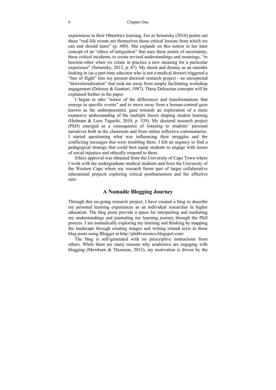#### 6 Chapter One

experiences in their Obstetrics learning. For as Semetsky (2010) points out these "real-life events are themselves those critical lessons from which we can and should learn" (p. 480). She expands on this notion in her later concept of an "ethics of integration" that uses these points of uncertainty, these critical incidents, to create revised understandings and meanings, "to become-other when we create in practice a new meaning for a particular experience" (Semetsky, 2012, p. 47). My shock and dismay as an outsider looking in (as a part-time educator who is not a medical doctor) triggered a "line of flight" into my present doctoral research project - an unexpected "deterritorialization" that took me away from simply facilitating workshop engagement (Deleuze & Guattari, 1987). These Deleuzian concepts will be explained further in the paper.

I began to take "notice of the differences and transformations that emerge in specific events" and to move away from a human-centred gaze known as the anthropocentric gaze towards an exploration of a more expansive understanding of the multiple forces shaping student learning (Hultman & Lenz Taguchi, 2010, p. 539). My doctoral research project (PhD) emerged as a consequence of listening to students' personal narratives both in the classroom and from online reflective commentaries. I started questioning what was influencing their struggles and the conflicting messages that were troubling them. I felt an urgency to find a pedagogical strategy that could best equip students to engage with issues of social injustice and ethically respond to them.

Ethics approval was obtained from the University of Cape Town where I work with the undergraduate medical students and from the University of the Western Cape where my research forms part of larger collaborative educational projects exploring critical posthumanism and the affective turn.

#### **A Nomadic Blogging Journey**

Through this on-going research project, I have created a blog to describe my personal learning experiences as an individual researcher in higher education. The blog posts provide a space for interpreting and mediating my understandings and journaling my learning journey through the PhD process. I am nomadically exploring my learning and thinking by mapping the landscape through creating images and writing related texts in these blog posts using Blogger at http://phd4veronica.blogspot.com/

The blog is self-generated with no prescriptive instructions from others. While there are many reasons why academics are engaging with blogging (Mewburn & Thomson, 2013), my motivation is driven by the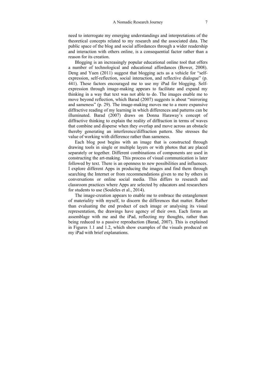need to interrogate my emerging understandings and interpretations of the theoretical concepts related to my research and the associated data. The public space of the blog and social affordances through a wider readership and interaction with others online, is a consequential factor rather than a reason for its creation.

Blogging is an increasingly popular educational online tool that offers a number of technological and educational affordances (Bower, 2008). Deng and Yuen (2011) suggest that blogging acts as a vehicle for "selfexpression, self-reflection, social interaction, and reflective dialogue" (p. 441). These factors encouraged me to use my iPad for blogging. Selfexpression through image-making appears to facilitate and expand my thinking in a way that text was not able to do. The images enable me to move beyond reflection, which Barad (2007) suggests is about "mirroring and sameness" (p. 29). The image-making moves me to a more expansive diffractive reading of my learning in which differences and patterns can be illuminated. Barad (2007) draws on Donna Haraway's concept of diffractive thinking to explain the reality of diffraction in terms of waves that combine and disperse when they overlap and move across an obstacle thereby generating an interference/diffraction pattern. She stresses the value of working with difference rather than sameness.

Each blog post begins with an image that is constructed through drawing tools in single or multiple layers or with photos that are placed separately or together. Different combinations of components are used in constructing the art-making. This process of visual communication is later followed by text. There is an openness to new possibilities and influences. I explore different Apps in producing the images and find them through searching the Internet or from recommendations given to me by others in conversations or online social media. This differs to research and classroom practices where Apps are selected by educators and researchers for students to use (Souleles et al., 2014).

The image-creation appears to enable me to embrace the entanglement of materiality with myself, to discern the differences that matter. Rather than evaluating the end product of each image or analysing its visual representation, the drawings have agency of their own. Each forms an assemblage with me and the iPad, reflecting my thoughts, rather than being reduced to a passive reproduction (Barad, 2007). This is explained in Figures 1.1 and 1.2, which show examples of the visuals produced on my iPad with brief explanations.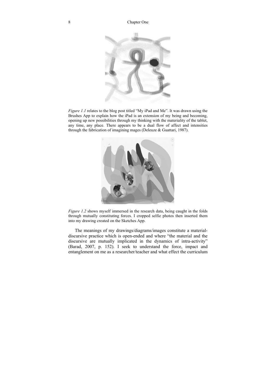

*Figure 1.1* relates to the blog post titled "My iPad and Me". It was drawn using the Brushes App to explain how the iPad is an extension of my being and becoming, opening up new possibilities through my thinking with the materiality of the tablet, any time, any place. There appears to be a dual flow of affect and intensities through the fabrication of imagining mages (Deleuze & Guattari, 1987).



*Figure 1.2* shows myself immersed in the research data, being caught in the folds through mutually constituting forces. I cropped selfie photos then inserted them into my drawing created on the Sketches App.

The meanings of my drawings/diagrams/images constitute a materialdiscursive practice which is open-ended and where "the material and the discursive are mutually implicated in the dynamics of intra-activity" (Barad, 2007, p. 152). I seek to understand the force, impact and entanglement on me as a researcher/teacher and what effect the curriculum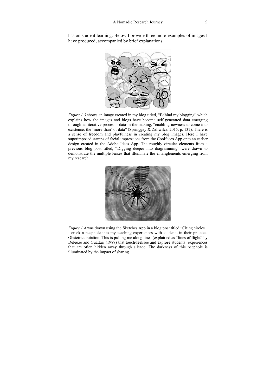has on student learning. Below I provide three more examples of images I have produced, accompanied by brief explanations.



Figure 1.3 shows an image created in my blog titled, "Behind my blogging" which explains how the images and blogs have become self-generated data emerging through an iterative process - data-in-the-making, "enabling newness to come into existence; the 'more-than' of data" (Springgay & Zaliwska. 2015, p. 137). There is a sense of freedom and playfulness in creating my blog images. Here I have superimposed stamps of facial impressions from the Coolfaces App onto an earlier design created in the Adobe Ideas App. The roughly circular elements from a previous blog post titled, "Digging deeper into diagramming" were drawn to demonstrate the multiple lenses that illuminate the entanglements emerging from my research.



Figure 1.4 was drawn using the Sketches App in a blog post titled "Citing circles". I crack a peephole into my teaching experiences with students in their practical Obstetrics rotation. This is pulling me along lines (explained as "lines of flight" by Deleuze and Guattari (1987) that touch/feel/see and explore students' experiences that are often hidden away through silence. The darkness of this peephole is illuminated by the impact of sharing.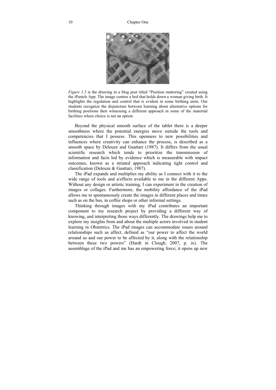#### 10 Chapter One



*Figure 1.5* is the drawing in a blog post titled "Position mattering" created using the iPastels App. The image centres a bed that holds down a woman giving birth. It highlights the regulation and control that is evident in some birthing units. Our students recognize the disjuncture between learning about alternative options for birthing positions then witnessing a different approach in some of the maternal facilities where choice is not an option.

Beyond the physical smooth surface of the tablet there is a deeper smoothness where the potential energies move outside the tools and competencies that I possess. This openness to new possibilities and influences where creativity can enhance the process, is described as a smooth space by Deleuze and Guattari (1987). It differs from the usual scientific research which tends to prioritize the transmission of information and facts led by evidence which is measurable with impact outcomes, known as a striated approach indicating tight control and classification (Deleuze & Guattari, 1987).

The iPad expands and multiplies my ability as I connect with it to the wide range of tools and a/effects available to me in the different Apps. Without any design or artistic training, I can experiment in the creation of images or collages. Furthermore, the mobility affordance of the iPad allows me to spontaneously create the images in different places and times such as on the bus, in coffee shops or other informal settings.

Thinking through images with my iPad contributes an important component to my research project by providing a different way of knowing, and interpreting those ways differently. The drawings help me to explore my insights from and about the multiple actors involved in student learning in Obstetrics. The iPad images can accommodate issues around relationships such as affect, defined as "our power to affect the world around us and our power to be affected by it, along with the relationship between these two powers" (Hardt in Clough, 2007, p. ix). The assemblage of the iPad and me has an empowering force; it opens up new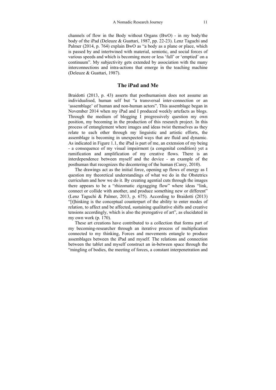channels of flow in the Body without Organs (BwO) - in my body/the body of the iPad (Deleuze & Guattari, 1987, pp. 22-23). Lenz Taguchi and Palmer (2014, p. 764) explain BwO as "a body as a plane or place, which is passed by and intertwined with material, semiotic, and social forces of various speeds and which is becoming more or less 'full' or 'emptied' on a continuum". My subjectivity gets extended by association with the many interconnections and intra-actions that emerge in the teaching machine (Deleuze & Guattari, 1987).

#### **The iPad and Me**

Braidotti (2013, p. 43) asserts that posthumanism does not assume an individualised, human self but "a transversal inter-connection or an 'assemblage' of human and non-human actors". This assemblage began in November 2014 when my iPad and I produced weekly artefacts as blogs. Through the medium of blogging I progressively question my own position, my becoming in the production of this research project. In this process of entanglement where images and ideas twist themselves as they relate to each other through my linguistic and artistic efforts, the assemblage is becoming in unexpected ways that are fluid and dynamic. As indicated in Figure 1.1, the iPad is part of me, an extension of my being - a consequence of my visual impairment (a congenital condition) yet a ramification and amplification of my creative flows. There is an interdependence between myself and the device - an example of the posthuman that recognizes the decentering of the human (Carey, 2010).

The drawings act as the initial force, opening up flows of energy as I question my theoretical understandings of what we do in the Obstetrics curriculum and how we do it. By creating agential cuts through the images there appears to be a "rhizomatic zigzagging flow" where ideas "link, connect or collide with another, and produce something new or different" (Lenz Taguchi & Palmer, 2013, p. 675). According to Braidotti (2013) "[t]hinking is the conceptual counterpart of the ability to enter modes of relation, to affect and be affected, sustaining qualitative shifts and creative tensions accordingly, which is also the prerogative of art", as elucidated in my own work (p. 170).

These art creations have contributed to a collection that forms part of my becoming-researcher through an iterative process of multiplication connected to my thinking, Forces and movements entangle to produce assemblages between the iPad and myself. The relations and connection between the tablet and myself construct an in-between space through the "mingling of bodies, the meeting of forces, a constant interpenetration and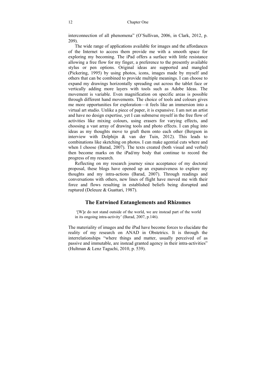interconnection of all phenomena" (O'Sullivan, 2006, in Clark, 2012, p. 209).

The wide range of applications available for images and the affordances of the Internet to access them provide me with a smooth space for exploring my becoming. The iPad offers a surface with little resistance allowing a free flow for my finger, a preference to the presently available stylus or pen options. Original ideas are supported and mangled (Pickering, 1995) by using photos, icons, images made by myself and others that can be combined to provide multiple meanings. I can choose to expand my drawings horizontally spreading out across the tablet face or vertically adding more layers with tools such as Adobe Ideas. The movement is variable. Even magnification on specific areas is possible through different hand movements. The choice of tools and colours gives me more opportunities for exploration—it feels like an immersion into a virtual art studio. Unlike a piece of paper, it is expansive. I am not an artist and have no design expertise, yet I can submerse myself in the free flow of activities like mixing colours, using erasers for varying effects, and choosing a vast array of drawing tools and photo effects. I can plug into ideas as my thoughts move to graft them onto each other (Bergson in interview with Dolphijn & van der Tuin, 2012). This leads to combinations like sketching on photos. I can make agential cuts where and when I choose (Barad, 2007). The texts created (both visual and verbal) then become marks on the iPad/my body that continue to record the progress of my research.

Reflecting on my research journey since acceptance of my doctoral proposal, these blogs have opened up an expansiveness to explore my thoughts and my intra-actions (Barad, 2007). Through readings and conversations with others, new lines of flight have moved me with their force and flows resulting in established beliefs being disrupted and ruptured (Deleuze & Guattari, 1987).

#### **The Entwined Entanglements and Rhizomes**

 '[W]e do not stand outside of the world, we are instead part of the world in its ongoing intra-activity' (Barad, 2007, p.146).

The materiality of images and the iPad have become forces to elucidate the reality of my research on ANAD in Obstetrics. It is through the interrelationships "where things and matter, usually perceived of as passive and immutable, are instead granted agency in their intra-activities" (Hultman & Lenz Taguchi, 2010, p. 539).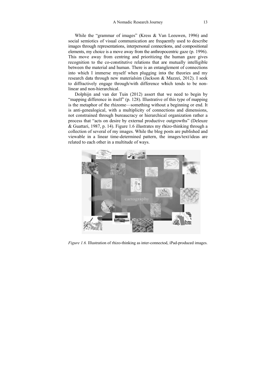While the "grammar of images" (Kress  $&$  Van Leeuwen, 1996) and social semiotics of visual communication are frequently used to describe images through representations, interpersonal connections, and compositional elements, my choice is a move away from the anthropocentric gaze (p. 1996). This move away from centring and prioritizing the human gaze gives recognition to the co-constitutive relations that are mutually intelligible between the material and human. There is an entanglement of connections into which I immerse myself when plugging into the theories and my research data through new materialsim (Jackson & Mazzei, 2012). I seek to diffractively engage through/with difference which tends to be nonlinear and non-hierarchical.

Dolphijn and van der Tuin (2012) assert that we need to begin by "mapping difference in itself" (p. 128). Illustrative of this type of mapping is the metaphor of the rhizome—something without a beginning or end. It is anti-genealogical, with a multiplicity of connections and dimensions, not constrained through bureaucracy or hierarchical organization rather a process that "acts on desire by external productive outgrowths" (Deleuze & Guattari, 1987, p. 14). Figure 1.6 illustrates my rhizo-thinking through a collection of several of my images. While the blog posts are published and viewable in a linear time-determined pattern, the images/text/ideas are related to each other in a multitude of ways.



Figure 1.6. Illustration of rhizo-thinking as inter-connected, iPad-produced images.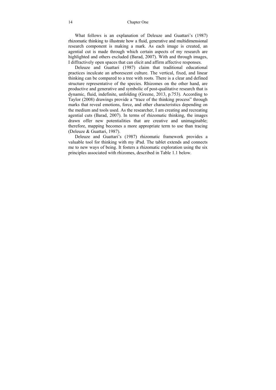What follows is an explanation of Deleuze and Guattari's (1987) rhizomatic thinking to illustrate how a fluid, generative and multidimensional research component is making a mark. As each image is created, an agential cut is made through which certain aspects of my research are highlighted and others excluded (Barad, 2007). With and through images, I diffractively open spaces that can elicit and affirm affective responses.

Deleuze and Guattari (1987) claim that traditional educational practices inculcate an arborescent culture. The vertical, fixed, and linear thinking can be compared to a tree with roots. There is a clear and defined structure representative of the species. Rhizomes on the other hand, are productive and generative and symbolic of post-qualitative research that is dynamic, fluid, indefinite, unfolding (Greene, 2013, p.753). According to Taylor (2008) drawings provide a "trace of the thinking process" through marks that reveal emotions, force, and other characteristics depending on the medium and tools used. As the researcher, I am creating and recreating agential cuts (Barad, 2007). In terms of rhizomatic thinking, the images drawn offer new potentialities that are creative and unimaginable; therefore, mapping becomes a more appropriate term to use than tracing (Deleuze & Guattari, 1987).

Deleuze and Guattari's (1987) rhizomatic framework provides a valuable tool for thinking with my iPad. The tablet extends and connects me to new ways of being. It fosters a rhizomatic exploration using the six principles associated with rhizomes, described in Table 1.1 below.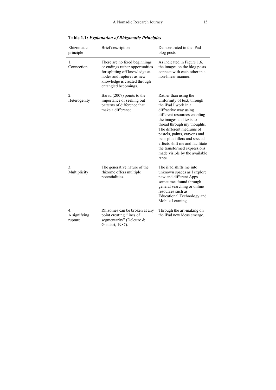| Rhizomatic<br>principle                     | Brief description                                                                                                                                                                       | Demonstrated in the iPad<br>blog posts                                                                                                                                                                                                                                                                                                                                                                   |
|---------------------------------------------|-----------------------------------------------------------------------------------------------------------------------------------------------------------------------------------------|----------------------------------------------------------------------------------------------------------------------------------------------------------------------------------------------------------------------------------------------------------------------------------------------------------------------------------------------------------------------------------------------------------|
| 1.<br>Connection                            | There are no fixed beginnings<br>or endings rather opportunities<br>for splitting off knowledge at<br>nodes and ruptures as new<br>knowledge is created through<br>entangled becomings. | As indicated in Figure 1.6,<br>the images on the blog posts<br>connect with each other in a<br>non-linear manner.                                                                                                                                                                                                                                                                                        |
| $\overline{2}$ .<br>Heterogenity            | Barad (2007) points to the<br>importance of seeking out<br>patterns of difference that<br>make a difference.                                                                            | Rather than using the<br>uniformity of text, through<br>the iPad I work in a<br>diffractive way using<br>different resources enabling<br>the images and texts to<br>thread through my thoughts.<br>The different mediums of<br>pastels, paints, crayons and<br>pens plus fillers and special<br>effects shift me and facilitate<br>the transformed expressions<br>made visible by the available<br>Apps. |
| 3.<br>Multiplicity                          | The generative nature of the<br>rhizome offers multiple<br>potentialities.                                                                                                              | The iPad shifts me into<br>unknown spaces as I explore<br>new and different Apps<br>sometimes found through<br>general searching or online<br>resources such as<br>Educational Technology and<br>Mobile Learning.                                                                                                                                                                                        |
| $\overline{4}$ .<br>A signifying<br>rupture | Rhizomes can be broken at any<br>point creating "lines of<br>segmentarity" (Deleuze &<br>Guattari, 1987).                                                                               | Through the art-making on<br>the iPad new ideas emerge.                                                                                                                                                                                                                                                                                                                                                  |

**Table 1.1:** *Explanation of Rhizomatic Principles*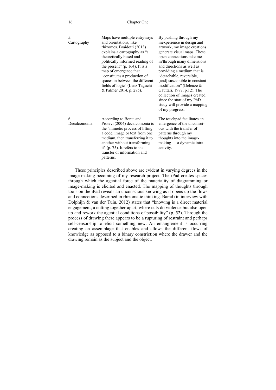| 16 | Chapter One |
|----|-------------|
|----|-------------|

| 5.<br>Cartography  | Maps have multiple entryways<br>and orientations, like<br>rhizomes. Braidotti (2013)<br>explains a cartography as "a<br>theoretically based and<br>politically informed reading of<br>the present" $(p. 164)$ . It is a<br>map of emergence that<br>"constitutes a production of<br>spaces in between the different<br>fields of logic" (Lenz Taguchi<br>& Palmer 2014, p. 275). | By pushing through my<br>inexperience in design and<br>artwork, my image creations<br>generate visual maps. These<br>open connections take me<br>in/through many dimensions<br>and directions as well as<br>providing a medium that is<br>"detachable, reversible,<br>[and] susceptible to constant<br>modification" (Deleuze $\&$<br>Gauttari, 1987, p.12). The<br>collection of images created<br>since the start of my PhD<br>study will provide a mapping<br>of my progress. |
|--------------------|----------------------------------------------------------------------------------------------------------------------------------------------------------------------------------------------------------------------------------------------------------------------------------------------------------------------------------------------------------------------------------|----------------------------------------------------------------------------------------------------------------------------------------------------------------------------------------------------------------------------------------------------------------------------------------------------------------------------------------------------------------------------------------------------------------------------------------------------------------------------------|
| 6.<br>Decalcomonia | According to Bonta and<br>Protevi (2004) decalcomonia is<br>the "mimetic process of lifting<br>a code, image or text from one<br>medium, then transferring it to<br>another without transforming<br>it" (p. $75$ ). It refers to the<br>transfer of information and<br>patterns.                                                                                                 | The touchpad facilitates an<br>emergence of the unconsci-<br>ous with the transfer of<br>patterns through my<br>thoughts into the image-<br>$making - a dynamic intra-$<br>activity.                                                                                                                                                                                                                                                                                             |

These principles described above are evident in varying degrees in the image-making-becoming of my research project. The iPad creates spaces through which the agential force of the materiality of diagramming or image-making is elicited and enacted. The mapping of thoughts through tools on the iPad reveals an unconscious knowing as it opens up the flows and connections described in rhizomatic thinking. Barad (in interview with Dolphijn & van der Tuin, 2012) states that "knowing is a direct material engagement, a cutting together-apart, where cuts do violence but also open up and rework the agential conditions of possibility" (p. 52). Through the process of drawing there appears to be a rupturing of restraint and perhaps self-censorship to elicit something new. An entanglement is occurring creating an assemblage that enables and allows the different flows of knowledge as opposed to a binary constriction where the drawer and the drawing remain as the subject and the object.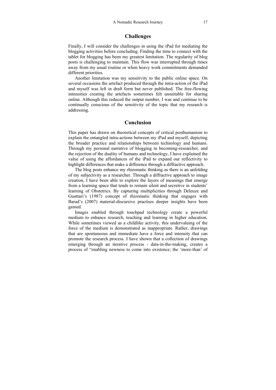#### **Challenges**

Finally, I will consider the challenges in using the iPad for mediating the blogging activities before concluding. Finding the time to connect with the tablet for blogging has been my greatest limitation. The regularity of blog posts is challenging to maintain. This flow was interrupted through times away from my usual routine or when heavy work commitments demanded different priorities.

Another limitation was my sensitivity to the public online space. On several occasions the artefact produced through the intra-action of the iPad and myself was left in draft form but never published. The free-flowing intensities creating the artefacts sometimes felt unsuitable for sharing online. Although this reduced the output number, I was and continue to be continually conscious of the sensitivity of the topic that my research is addressing.

#### **Conclusion**

This paper has drawn on theoretical concepts of critical posthumanism to explain the entangled intra-actions between my iPad and myself, depicting the broader practice and relationships between technology and humans. Through my personal narrative of blogging in becoming-researcher, and the rejection of the duality of humans and technology, I have explained the value of using the affordances of the iPad to expand our reflectivity to highlight differences that make a difference through a diffractive approach.

The blog posts enhance my rhizomatic thinking as there is an unfolding of my subjectivity as a researcher. Through a diffractive approach to image creation, I have been able to explore the layers of meanings that emerge from a learning space that tends to remain silent and secretive in students' learning of Obstetrics. By capturing multiplicities through Deleuze and Guattari's (1987) concept of rhizomatic thinking that engages with Barad's (2007) material-discursive practises deeper insights have been gained.

Images enabled through touchpad technology create a powerful medium to enhance research, teaching and learning in higher education. While sometimes viewed as a childlike activity, this undervaluing of the force of the medium is demonstrated as inappropriate. Rather, drawings that are spontaneous and immediate have a force and intensity that can promote the research process. I have shown that a collection of drawings emerging through an iterative process - data-in-the-making, creates a process of "enabling newness to come into existence; the 'more-than' of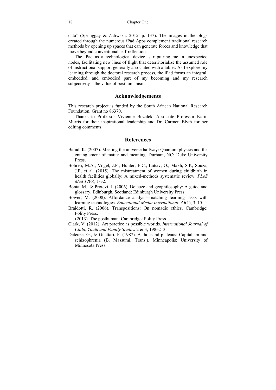data" (Springgay & Zaliwska. 2015, p. 137). The images in the blogs created through the numerous iPad Apps complement traditional research methods by opening up spaces that can generate forces and knowledge that move beyond conventional self-reflection.

The iPad as a technological device is rupturing me in unexpected nodes, facilitating new lines of flight that deterritorialize the assumed role of instructional support generally associated with a tablet. As I explore my learning through the doctoral research process, the iPad forms an integral, embedded, and embodied part of my becoming and my research subjectivity—the value of posthumanism.

#### **Acknowledgements**

This research project is funded by the South African National Research Foundation, Grant no 86370.

Thanks to Professor Vivienne Bozalek, Associate Professor Karin Murris for their inspirational leadership and Dr. Carmen Blyth for her editing comments.

#### **References**

- Barad, K. (2007). Meeting the universe halfway: Quantum physics and the entanglement of matter and meaning. Durham, NC: Duke University Press.
- Bohren, M.A., Vogel, J.P., Hunter, E.C., Lutsiv, O., Makh, S.K, Souza, J.P, et al. (2015). The mistreatment of women during childbirth in health facilities globally: A mixed-methods systematic review. *PLoS Med 12*(6), 1-32.
- Bonta, M., & Protevi, J. (2006). Deleuze and geophilosophy: A guide and glossary. Edinburgh, Scotland: Edinburgh University Press.
- Bower, M. (2008). Affordance analysis–matching learning tasks with learning technologies. *Educational Media International*. *45*(1), 3–15.
- Braidotti, R. (2006). Transpositions: On nomadic ethics. Cambridge: Polity Press.
- —. (2013). The posthuman. Cambridge: Polity Press.
- Clark, V. (2012). Art practice as possible worlds. *International Journal of Child, Youth and Family Studies* 2 & 3, 198–213.
- Deleuze, G., & Guattari, F. (1987). A thousand plateaus: Capitalism and schizophrenia (B. Massumi, Trans.). Minneapolis: University of Minnesota Press.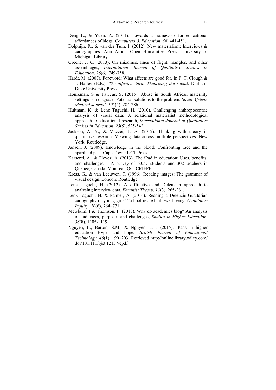- Deng L., & Yuen. A. (2011). Towards a framework for educational affordances of blogs. *Computers & Education. 56*, 441-451.
- Dolphijn, R., & van der Tuin, I. (2012). New materialism: Interviews & cartographies. Ann Arbor: Open Humanities Press, University of Michigan Library.
- Greene, J. C. (2013). On rhizomes, lines of flight, mangles, and other assemblages, *International Journal of Qualitative Studies in Education*. *26*(6), 749-758.
- Hardt, M. (2007). Foreword: What affects are good for. In P. T. Clough & J. Halley (Eds.), *The affective turn: Theorizing the social*. Durham: Duke University Press.
- Honikman, S & Fawcus, S. (2015). Abuse in South African maternity settings is a disgrace: Potential solutions to the problem. *South African Medical Journal*. *105*(4), 284-286.
- Hultman, K. & Lenz Taguchi, H. (2010). Challenging anthropocentric analysis of visual data: A relational materialist methodological approach to educational research, *International Journal of Qualitative Studies in Education*. *23*(5), 525-542.
- Jackson, A. Y., & Mazzei, L. A. (2012). Thinking with theory in qualitative research: Viewing data across multiple perspectives. New York: Routledge.
- Jansen, J. (2009). Knowledge in the blood: Confronting race and the apartheid past. Cape Town: UCT Press.
- Karsenti, A., & Fievez, A. (2013). The iPad in education: Uses, benefits, and challenges – A survey of 6,057 students and 302 teachers in Quebec, Canada. Montreal, QC: CRIFPE.
- Kress, G., & van Leeuwen, T. (1996). Reading images: The grammar of visual design. London: Routledge.
- Lenz Taguchi, H. (2012). A diffractive and Deleuzian approach to analysing interview data. *Feminist Theory*. *13*(3), 265-281.
- Lenz Taguchi, H. & Palmer, A. (2014). Reading a Deleuzio-Guattarian cartography of young girls' "school-related" ill-/well-being. *Qualitative Inquiry. 20*(6), 764–771.
- Mewburn, I & Thomson, P. (2013). Why do academics blog? An analysis of audiences, purposes and challenges, *Studies in Higher Education. 38*(8), 1105-1119.
- Nguyen, L., Barton, S.M., & Nguyen, L.T. (2015). iPads in higher education—Hype and hope. *British Journal of Educational Technology. 46*(1), 190–203. Retrieved http://onlinelibrary.wiley.com/ doi/10.1111/bjet.12137/epdf